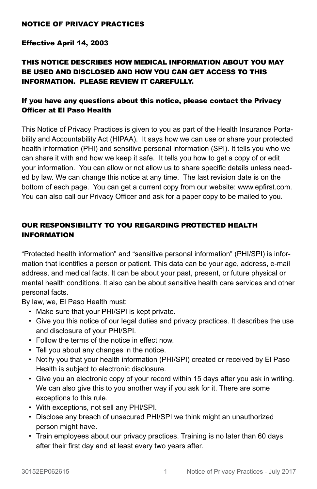## NOTICE OF PRIVACY PRACTICES

#### Effective April 14, 2003

# THIS NOTICE DESCRIBES HOW MEDICAL INFORMATION ABOUT YOU MAY BE USED AND DISCLOSED AND HOW YOU CAN GET ACCESS TO THIS INFORMATION. PLEASE REVIEW IT CAREFULLY.

# If you have any questions about this notice, please contact the Privacy Officer at El Paso Health

This Notice of Privacy Practices is given to you as part of the Health Insurance Portability and Accountability Act (HIPAA). It says how we can use or share your protected health information (PHI) and sensitive personal information (SPI). It tells you who we can share it with and how we keep it safe. It tells you how to get a copy of or edit your information. You can allow or not allow us to share specific details unless needed by law. We can change this notice at any time. The last revision date is on the bottom of each page. You can get a current copy from our website: www.epfirst.com. You can also call our Privacy Officer and ask for a paper copy to be mailed to you.

# OUR RESPONSIBILITY TO YOU REGARDING PROTECTED HEALTH INFORMATION

"Protected health information" and "sensitive personal information" (PHI/SPI) is information that identifies a person or patient. This data can be your age, address, e-mail address, and medical facts. It can be about your past, present, or future physical or mental health conditions. It also can be about sensitive health care services and other personal facts.

By law, we, El Paso Health must:

- Make sure that your PHI/SPI is kept private.
- Give you this notice of our legal duties and privacy practices. It describes the use and disclosure of your PHI/SPI.
- Follow the terms of the notice in effect now.
- Tell you about any changes in the notice.
- Notify you that your health information (PHI/SPI) created or received by El Paso Health is subject to electronic disclosure.
- Give you an electronic copy of your record within 15 days after you ask in writing. We can also give this to you another way if you ask for it. There are some exceptions to this rule.
- With exceptions, not sell any PHI/SPI.
- Disclose any breach of unsecured PHI/SPI we think might an unauthorized person might have.
- Train employees about our privacy practices. Training is no later than 60 days after their first day and at least every two years after.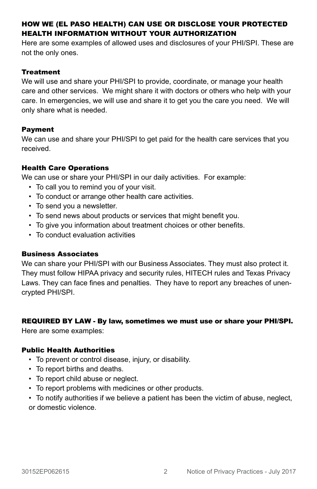# HOW WE (EL PASO HEALTH) CAN USE OR DISCLOSE YOUR PROTECTED HEALTH INFORMATION WITHOUT YOUR AUTHORIZATION

Here are some examples of allowed uses and disclosures of your PHI/SPI. These are not the only ones.

#### **Treatment**

We will use and share your PHI/SPI to provide, coordinate, or manage your health care and other services. We might share it with doctors or others who help with your care. In emergencies, we will use and share it to get you the care you need. We will only share what is needed.

## Payment

We can use and share your PHI/SPI to get paid for the health care services that you received.

# Health Care Operations

We can use or share your PHI/SPI in our daily activities. For example:

- To call you to remind you of your visit.
- To conduct or arrange other health care activities.
- To send you a newsletter.
- To send news about products or services that might benefit you.
- To give you information about treatment choices or other benefits.
- To conduct evaluation activities

## Business Associates

We can share your PHI/SPI with our Business Associates. They must also protect it. They must follow HIPAA privacy and security rules, HITECH rules and Texas Privacy Laws. They can face fines and penalties. They have to report any breaches of unencrypted PHI/SPI.

## REQUIRED BY LAW - By law, sometimes we must use or share your PHI/SPI.

Here are some examples:

## Public Health Authorities

- To prevent or control disease, injury, or disability.
- To report births and deaths.
- To report child abuse or neglect.
- To report problems with medicines or other products.
- To notify authorities if we believe a patient has been the victim of abuse, neglect, or domestic violence.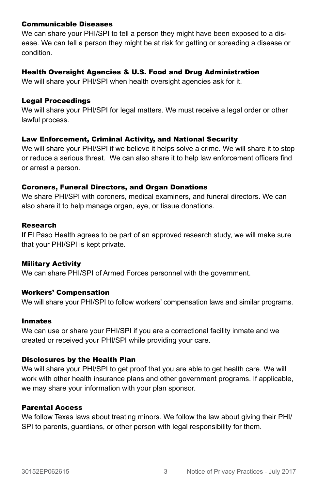#### Communicable Diseases

We can share your PHI/SPI to tell a person they might have been exposed to a disease. We can tell a person they might be at risk for getting or spreading a disease or condition.

## Health Oversight Agencies & U.S. Food and Drug Administration

We will share your PHI/SPI when health oversight agencies ask for it.

#### Legal Proceedings

We will share your PHI/SPI for legal matters. We must receive a legal order or other lawful process.

## Law Enforcement, Criminal Activity, and National Security

We will share your PHI/SPI if we believe it helps solve a crime. We will share it to stop or reduce a serious threat. We can also share it to help law enforcement officers find or arrest a person.

#### Coroners, Funeral Directors, and Organ Donations

We share PHI/SPI with coroners, medical examiners, and funeral directors. We can also share it to help manage organ, eye, or tissue donations.

#### Research

If El Paso Health agrees to be part of an approved research study, we will make sure that your PHI/SPI is kept private.

## Military Activity

We can share PHI/SPI of Armed Forces personnel with the government.

## Workers' Compensation

We will share your PHI/SPI to follow workers' compensation laws and similar programs.

#### Inmates

We can use or share your PHI/SPI if you are a correctional facility inmate and we created or received your PHI/SPI while providing your care.

## Disclosures by the Health Plan

We will share your PHI/SPI to get proof that you are able to get health care. We will work with other health insurance plans and other government programs. If applicable, we may share your information with your plan sponsor.

## Parental Access

We follow Texas laws about treating minors. We follow the law about giving their PHI/ SPI to parents, guardians, or other person with legal responsibility for them.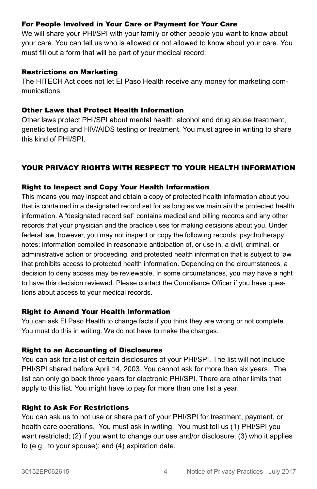## For People Involved in Your Care or Payment for Your Care

We will share your PHI/SPI with your family or other people you want to know about your care. You can tell us who is allowed or not allowed to know about your care. You must fill out a form that will be part of your medical record.

#### Restrictions on Marketing

The HITECH Act does not let El Paso Health receive any money for marketing communications.

#### Other Laws that Protect Health Information

Other laws protect PHI/SPI about mental health, alcohol and drug abuse treatment, genetic testing and HIV/AIDS testing or treatment. You must agree in writing to share this kind of PHI/SPI.

# YOUR PRIVACY RIGHTS WITH RESPECT TO YOUR HEALTH INFORMATION

## Right to Inspect and Copy Your Health Information

This means you may inspect and obtain a copy of protected health information about you that is contained in a designated record set for as long as we maintain the protected health information. A "designated record set" contains medical and billing records and any other records that your physician and the practice uses for making decisions about you. Under federal law, however, you may not inspect or copy the following records; psychotherapy notes; information compiled in reasonable anticipation of, or use in, a civil, criminal, or administrative action or proceeding, and protected health information that is subject to law that prohibits access to protected health information. Depending on the circumstances, a decision to deny access may be reviewable. In some circumstances, you may have a right to have this decision reviewed. Please contact the Compliance Officer if you have questions about access to your medical records.

## Right to Amend Your Health Information

You can ask El Paso Health to change facts if you think they are wrong or not complete. You must do this in writing. We do not have to make the changes.

## Right to an Accounting of Disclosures

You can ask for a list of certain disclosures of your PHI/SPI. The list will not include PHI/SPI shared before April 14, 2003. You cannot ask for more than six years. The list can only go back three years for electronic PHI/SPI. There are other limits that apply to this list. You might have to pay for more than one list a year.

## Right to Ask For Restrictions

You can ask us to not use or share part of your PHI/SPI for treatment, payment, or health care operations. You must ask in writing. You must tell us (1) PHI/SPI you want restricted; (2) if you want to change our use and/or disclosure; (3) who it applies to (e.g., to your spouse); and (4) expiration date.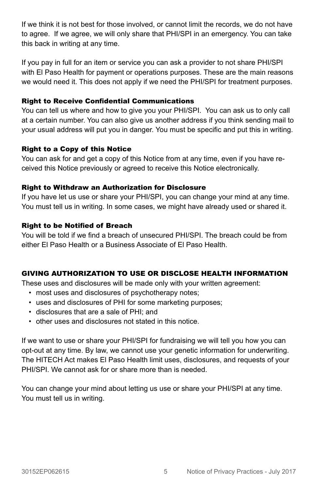If we think it is not best for those involved, or cannot limit the records, we do not have to agree. If we agree, we will only share that PHI/SPI in an emergency. You can take this back in writing at any time.

If you pay in full for an item or service you can ask a provider to not share PHI/SPI with El Paso Health for payment or operations purposes. These are the main reasons we would need it. This does not apply if we need the PHI/SPI for treatment purposes.

## Right to Receive Confidential Communications

You can tell us where and how to give you your PHI/SPI. You can ask us to only call at a certain number. You can also give us another address if you think sending mail to your usual address will put you in danger. You must be specific and put this in writing.

## Right to a Copy of this Notice

You can ask for and get a copy of this Notice from at any time, even if you have received this Notice previously or agreed to receive this Notice electronically.

## Right to Withdraw an Authorization for Disclosure

If you have let us use or share your PHI/SPI, you can change your mind at any time. You must tell us in writing. In some cases, we might have already used or shared it.

## Right to be Notified of Breach

You will be told if we find a breach of unsecured PHI/SPI. The breach could be from either El Paso Health or a Business Associate of El Paso Health.

## GIVING AUTHORIZATION TO USE OR DISCLOSE HEALTH INFORMATION

These uses and disclosures will be made only with your written agreement:

- most uses and disclosures of psychotherapy notes;
- uses and disclosures of PHI for some marketing purposes;
- disclosures that are a sale of PHI; and
- other uses and disclosures not stated in this notice.

If we want to use or share your PHI/SPI for fundraising we will tell you how you can opt-out at any time. By law, we cannot use your genetic information for underwriting. The HITECH Act makes El Paso Health limit uses, disclosures, and requests of your PHI/SPI. We cannot ask for or share more than is needed.

You can change your mind about letting us use or share your PHI/SPI at any time. You must tell us in writing.